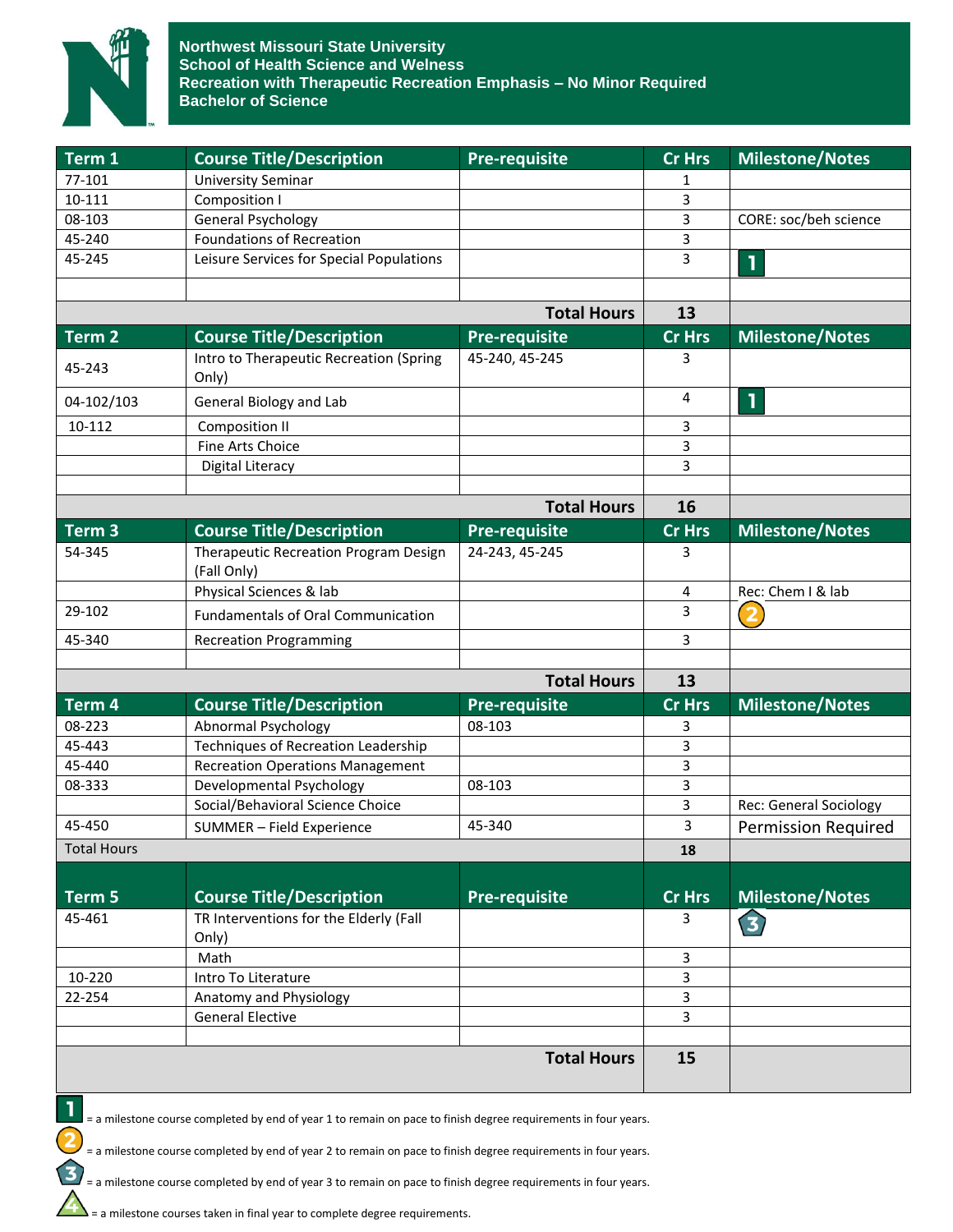

| Term 1             | <b>Course Title/Description</b>                                          | <b>Pre-requisite</b> | <b>Cr Hrs</b> | <b>Milestone/Notes</b>        |
|--------------------|--------------------------------------------------------------------------|----------------------|---------------|-------------------------------|
| 77-101             | <b>University Seminar</b>                                                |                      | 1             |                               |
| 10-111             | Composition I                                                            |                      | 3             |                               |
| 08-103             | <b>General Psychology</b>                                                |                      | 3             | CORE: soc/beh science         |
| 45-240             | <b>Foundations of Recreation</b>                                         |                      | 3             |                               |
| 45-245             | Leisure Services for Special Populations                                 |                      | 3             | 1                             |
|                    |                                                                          |                      |               |                               |
|                    |                                                                          | <b>Total Hours</b>   | 13            |                               |
| Term 2             | <b>Course Title/Description</b>                                          | <b>Pre-requisite</b> | <b>Cr Hrs</b> | <b>Milestone/Notes</b>        |
| 45-243             | Intro to Therapeutic Recreation (Spring<br>Only)                         | 45-240, 45-245       | 3             |                               |
| 04-102/103         | General Biology and Lab                                                  |                      | 4             | 1                             |
| 10-112             | <b>Composition II</b>                                                    |                      | 3             |                               |
|                    | Fine Arts Choice                                                         |                      | 3             |                               |
|                    | Digital Literacy                                                         |                      | 3             |                               |
|                    |                                                                          |                      |               |                               |
|                    |                                                                          | <b>Total Hours</b>   | 16            |                               |
| Term <sub>3</sub>  | <b>Course Title/Description</b>                                          | <b>Pre-requisite</b> | <b>Cr Hrs</b> | <b>Milestone/Notes</b>        |
| 54-345             | Therapeutic Recreation Program Design<br>(Fall Only)                     | 24-243, 45-245       | 3             |                               |
|                    | Physical Sciences & lab                                                  |                      | 4             | Rec: Chem I & lab             |
| 29-102             | <b>Fundamentals of Oral Communication</b>                                |                      | 3             | $\overline{\mathbf{2}}$       |
| 45-340             | <b>Recreation Programming</b>                                            |                      | 3             |                               |
|                    |                                                                          | <b>Total Hours</b>   | 13            |                               |
|                    |                                                                          |                      |               |                               |
| Term 4             | <b>Course Title/Description</b>                                          | <b>Pre-requisite</b> | <b>Cr Hrs</b> | <b>Milestone/Notes</b>        |
| 08-223<br>45-443   | <b>Abnormal Psychology</b><br><b>Techniques of Recreation Leadership</b> | 08-103               | 3<br>3        |                               |
| 45-440             | <b>Recreation Operations Management</b>                                  |                      | 3             |                               |
| 08-333             |                                                                          |                      | 3             |                               |
|                    | Developmental Psychology<br>Social/Behavioral Science Choice             | 08-103               | 3             |                               |
| 45-450             |                                                                          | 45-340               | 3             | <b>Rec: General Sociology</b> |
|                    | SUMMER - Field Experience                                                |                      |               | <b>Permission Required</b>    |
| <b>Total Hours</b> |                                                                          |                      | 18            |                               |
| Term 5             | <b>Course Title/Description</b>                                          | <b>Pre-requisite</b> | <b>Cr Hrs</b> | <b>Milestone/Notes</b>        |
| 45-461             | TR Interventions for the Elderly (Fall                                   |                      |               |                               |
|                    | Only)                                                                    |                      | 3             | 3                             |
|                    | Math                                                                     |                      | 3             |                               |
| 10-220             | Intro To Literature                                                      |                      | 3             |                               |
| 22-254             | Anatomy and Physiology                                                   |                      | 3             |                               |
|                    | <b>General Elective</b>                                                  |                      | 3             |                               |
|                    |                                                                          |                      |               |                               |
|                    |                                                                          | <b>Total Hours</b>   | 15            |                               |

= a milestone course completed by end of year 1 to remain on pace to finish degree requirements in four years.

= a milestone course completed by end of year 2 to remain on pace to finish degree requirements in four years.

= a milestone course completed by end of year 3 to remain on pace to finish degree requirements in four years.

= a milestone courses taken in final year to complete degree requirements.

1

 $\overline{\mathbf{c}}$ 

 $\mathbf{B}$ 

 $\Delta$